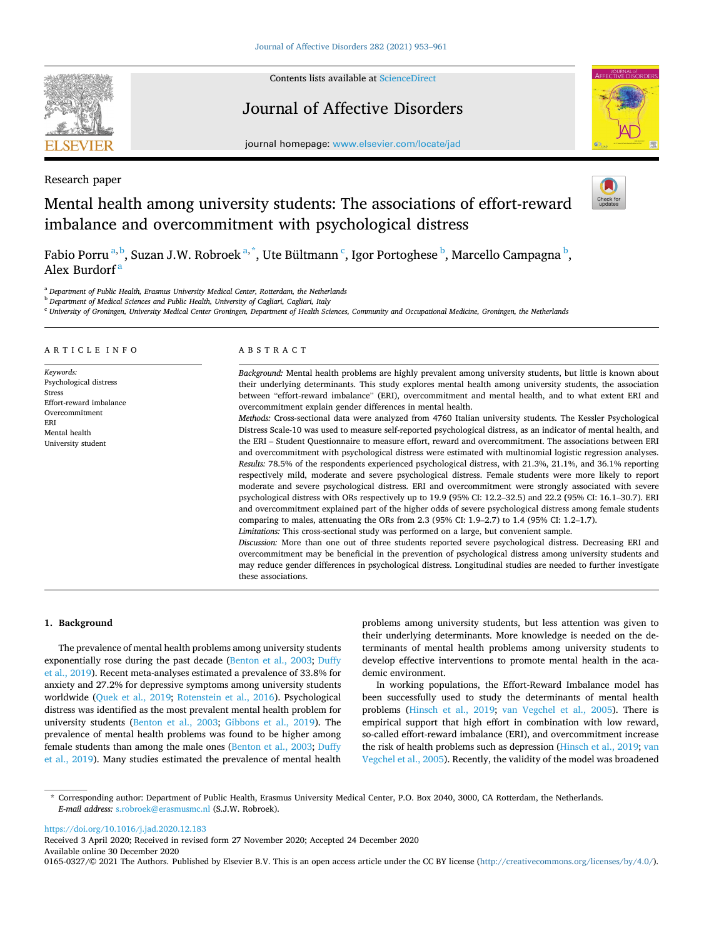

Contents lists available at [ScienceDirect](www.sciencedirect.com/science/journal/01650327)

## Journal of Affective Disorders



journal homepage: [www.elsevier.com/locate/jad](https://www.elsevier.com/locate/jad)

Research paper

# Mental health among university students: The associations of effort-reward imbalance and overcommitment with psychological distress

Fabio Porru <sup>a, b</sup>, Suzan J.W. Robroek <sup>a, \*</sup>, Ute Bültmann <sup>c</sup>, Igor Portoghese <sup>b</sup>, Marcello Campagna <sup>b</sup>, Alex Burdorf<sup>a</sup>

<sup>a</sup> *Department of Public Health, Erasmus University Medical Center, Rotterdam, the Netherlands* 

<sup>b</sup> *Department of Medical Sciences and Public Health, University of Cagliari, Cagliari, Italy* 

<sup>c</sup> *University of Groningen, University Medical Center Groningen, Department of Health Sciences, Community and Occupational Medicine, Groningen, the Netherlands* 

#### ARTICLE INFO *Keywords:*  Psychological distress Stress Effort-reward imbalance Overcommitment ERI Mental health University student ABSTRACT *Background:* Mental health problems are highly prevalent among university students, but little is known about their underlying determinants. This study explores mental health among university students, the association between "effort-reward imbalance" (ERI), overcommitment and mental health, and to what extent ERI and overcommitment explain gender differences in mental health. *Methods:* Cross-sectional data were analyzed from 4760 Italian university students. The Kessler Psychological Distress Scale-10 was used to measure self-reported psychological distress, as an indicator of mental health, and the ERI – Student Questionnaire to measure effort, reward and overcommitment. The associations between ERI and overcommitment with psychological distress were estimated with multinomial logistic regression analyses. *Results:* 78.5% of the respondents experienced psychological distress, with 21.3%, 21.1%, and 36.1% reporting respectively mild, moderate and severe psychological distress. Female students were more likely to report moderate and severe psychological distress. ERI and overcommitment were strongly associated with severe psychological distress with ORs respectively up to 19.9 **(**95% CI: 12.2–32.5) and 22.2 **(**95% CI: 16.1–30.7). ERI and overcommitment explained part of the higher odds of severe psychological distress among female students comparing to males, attenuating the ORs from 2.3 (95% CI: 1.9–2.7) to 1.4 (95% CI: 1.2–1.7). *Limitations:* This cross-sectional study was performed on a large, but convenient sample. *Discussion:* More than one out of three students reported severe psychological distress. Decreasing ERI and overcommitment may be beneficial in the prevention of psychological distress among university students and may reduce gender differences in psychological distress. Longitudinal studies are needed to further investigate these associations.

## **1. Background**

The prevalence of mental health problems among university students exponentially rose during the past decade ([Benton et al., 2003;](#page-7-0) [Duffy](#page-7-0)  [et al., 2019](#page-7-0)). Recent meta-analyses estimated a prevalence of 33.8% for anxiety and 27.2% for depressive symptoms among university students worldwide [\(Quek et al., 2019;](#page-8-0) [Rotenstein et al., 2016](#page-8-0)). Psychological distress was identified as the most prevalent mental health problem for university students ([Benton et al., 2003](#page-7-0); [Gibbons et al., 2019](#page-7-0)). The prevalence of mental health problems was found to be higher among female students than among the male ones [\(Benton et al., 2003](#page-7-0); [Duffy](#page-7-0)  [et al., 2019\)](#page-7-0). Many studies estimated the prevalence of mental health

problems among university students, but less attention was given to their underlying determinants. More knowledge is needed on the determinants of mental health problems among university students to develop effective interventions to promote mental health in the academic environment.

In working populations, the Effort-Reward Imbalance model has been successfully used to study the determinants of mental health problems [\(Hinsch et al., 2019;](#page-7-0) [van Vegchel et al., 2005](#page-8-0)). There is empirical support that high effort in combination with low reward, so-called effort-reward imbalance (ERI), and overcommitment increase the risk of health problems such as depression ([Hinsch et al., 2019](#page-7-0); [van](#page-8-0)  [Vegchel et al., 2005\)](#page-8-0). Recently, the validity of the model was broadened

<https://doi.org/10.1016/j.jad.2020.12.183>

Available online 30 December 2020 Received 3 April 2020; Received in revised form 27 November 2020; Accepted 24 December 2020

0165-0327/© 2021 The Authors. Published by Elsevier B.V. This is an open access article under the CC BY license [\(http://creativecommons.org/licenses/by/4.0/\)](http://creativecommons.org/licenses/by/4.0/).

<sup>\*</sup> Corresponding author: Department of Public Health, Erasmus University Medical Center, P.O. Box 2040, 3000, CA Rotterdam, the Netherlands. *E-mail address:* [s.robroek@erasmusmc.nl](mailto:s.robroek@erasmusmc.nl) (S.J.W. Robroek).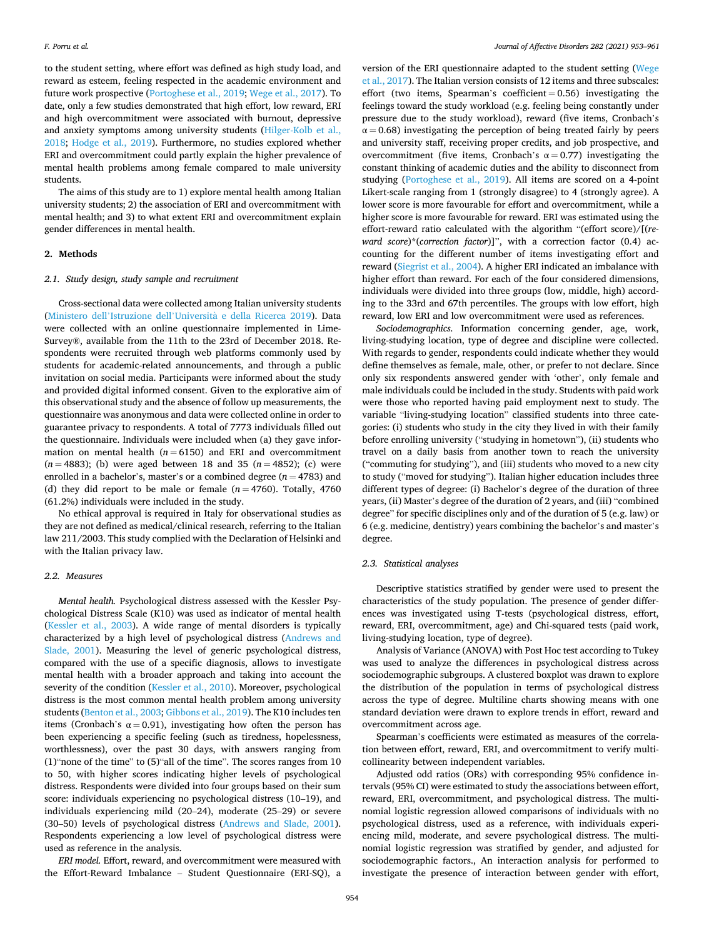to the student setting, where effort was defined as high study load, and reward as esteem, feeling respected in the academic environment and future work prospective ([Portoghese et al., 2019; Wege et al., 2017](#page-8-0)). To date, only a few studies demonstrated that high effort, low reward, ERI and high overcommitment were associated with burnout, depressive and anxiety symptoms among university students ([Hilger-Kolb et al.,](#page-7-0)  [2018;](#page-7-0) [Hodge et al., 2019](#page-7-0)). Furthermore, no studies explored whether ERI and overcommitment could partly explain the higher prevalence of mental health problems among female compared to male university students.

The aims of this study are to 1) explore mental health among Italian university students; 2) the association of ERI and overcommitment with mental health; and 3) to what extent ERI and overcommitment explain gender differences in mental health.

#### **2. Methods**

## *2.1. Study design, study sample and recruitment*

Cross-sectional data were collected among Italian university students (Ministero dell'Istruzione dell'Università [e della Ricerca 2019\)](#page-7-0). Data were collected with an online questionnaire implemented in Lime-Survey®, available from the 11th to the 23rd of December 2018. Respondents were recruited through web platforms commonly used by students for academic-related announcements, and through a public invitation on social media. Participants were informed about the study and provided digital informed consent. Given to the explorative aim of this observational study and the absence of follow up measurements, the questionnaire was anonymous and data were collected online in order to guarantee privacy to respondents. A total of 7773 individuals filled out the questionnaire. Individuals were included when (a) they gave information on mental health  $(n = 6150)$  and ERI and overcommitment (*n* = 4883); (b) were aged between 18 and 35 (*n* = 4852); (c) were enrolled in a bachelor's, master's or a combined degree  $(n = 4783)$  and (d) they did report to be male or female  $(n = 4760)$ . Totally, 4760 (61.2%) individuals were included in the study.

No ethical approval is required in Italy for observational studies as they are not defined as medical/clinical research, referring to the Italian law 211/2003. This study complied with the Declaration of Helsinki and with the Italian privacy law.

#### *2.2. Measures*

*Mental health.* Psychological distress assessed with the Kessler Psychological Distress Scale (K10) was used as indicator of mental health ([Kessler et al., 2003\)](#page-7-0). A wide range of mental disorders is typically characterized by a high level of psychological distress [\(Andrews and](#page-7-0)  [Slade, 2001\)](#page-7-0). Measuring the level of generic psychological distress, compared with the use of a specific diagnosis, allows to investigate mental health with a broader approach and taking into account the severity of the condition [\(Kessler et al., 2010](#page-7-0)). Moreover, psychological distress is the most common mental health problem among university students [\(Benton et al., 2003; Gibbons et al., 2019](#page-7-0)). The K10 includes ten items (Cronbach's  $\alpha = 0.91$ ), investigating how often the person has been experiencing a specific feeling (such as tiredness, hopelessness, worthlessness), over the past 30 days, with answers ranging from (1)"none of the time" to (5)"all of the time". The scores ranges from 10 to 50, with higher scores indicating higher levels of psychological distress. Respondents were divided into four groups based on their sum score: individuals experiencing no psychological distress (10–19), and individuals experiencing mild (20–24), moderate (25–29) or severe (30–50) levels of psychological distress ([Andrews and Slade, 2001](#page-7-0)). Respondents experiencing a low level of psychological distress were used as reference in the analysis.

*ERI model.* Effort, reward, and overcommitment were measured with the Effort-Reward Imbalance – Student Questionnaire (ERI-SQ), a

version of the ERI questionnaire adapted to the student setting [\(Wege](#page-8-0)  [et al., 2017](#page-8-0)). The Italian version consists of 12 items and three subscales: effort (two items, Spearman's coefficient  $= 0.56$ ) investigating the feelings toward the study workload (e.g. feeling being constantly under pressure due to the study workload), reward (five items, Cronbach's  $\alpha = 0.68$ ) investigating the perception of being treated fairly by peers and university staff, receiving proper credits, and job prospective, and overcommitment (five items, Cronbach's  $\alpha = 0.77$ ) investigating the constant thinking of academic duties and the ability to disconnect from studying [\(Portoghese et al., 2019\)](#page-8-0). All items are scored on a 4-point Likert-scale ranging from 1 (strongly disagree) to 4 (strongly agree). A lower score is more favourable for effort and overcommitment, while a higher score is more favourable for reward. ERI was estimated using the effort-reward ratio calculated with the algorithm "(effort score)/[(*reward score*)\*(*correction factor*)]", with a correction factor (0.4) accounting for the different number of items investigating effort and reward ([Siegrist et al., 2004](#page-8-0)). A higher ERI indicated an imbalance with higher effort than reward. For each of the four considered dimensions, individuals were divided into three groups (low, middle, high) according to the 33rd and 67th percentiles. The groups with low effort, high reward, low ERI and low overcommitment were used as references.

*Sociodemographics.* Information concerning gender, age, work, living-studying location, type of degree and discipline were collected. With regards to gender, respondents could indicate whether they would define themselves as female, male, other, or prefer to not declare. Since only six respondents answered gender with 'other', only female and male individuals could be included in the study. Students with paid work were those who reported having paid employment next to study. The variable "living-studying location" classified students into three categories: (i) students who study in the city they lived in with their family before enrolling university ("studying in hometown"), (ii) students who travel on a daily basis from another town to reach the university ("commuting for studying"), and (iii) students who moved to a new city to study ("moved for studying"). Italian higher education includes three different types of degree: (i) Bachelor's degree of the duration of three years, (ii) Master's degree of the duration of 2 years, and (iii) "combined degree" for specific disciplines only and of the duration of 5 (e.g. law) or 6 (e.g. medicine, dentistry) years combining the bachelor's and master's degree.

#### *2.3. Statistical analyses*

Descriptive statistics stratified by gender were used to present the characteristics of the study population. The presence of gender differences was investigated using T-tests (psychological distress, effort, reward, ERI, overcommitment, age) and Chi-squared tests (paid work, living-studying location, type of degree).

Analysis of Variance (ANOVA) with Post Hoc test according to Tukey was used to analyze the differences in psychological distress across sociodemographic subgroups. A clustered boxplot was drawn to explore the distribution of the population in terms of psychological distress across the type of degree. Multiline charts showing means with one standard deviation were drawn to explore trends in effort, reward and overcommitment across age.

Spearman's coefficients were estimated as measures of the correlation between effort, reward, ERI, and overcommitment to verify multicollinearity between independent variables.

Adjusted odd ratios (ORs) with corresponding 95% confidence intervals (95% CI) were estimated to study the associations between effort, reward, ERI, overcommitment, and psychological distress. The multinomial logistic regression allowed comparisons of individuals with no psychological distress, used as a reference, with individuals experiencing mild, moderate, and severe psychological distress. The multinomial logistic regression was stratified by gender, and adjusted for sociodemographic factors., An interaction analysis for performed to investigate the presence of interaction between gender with effort,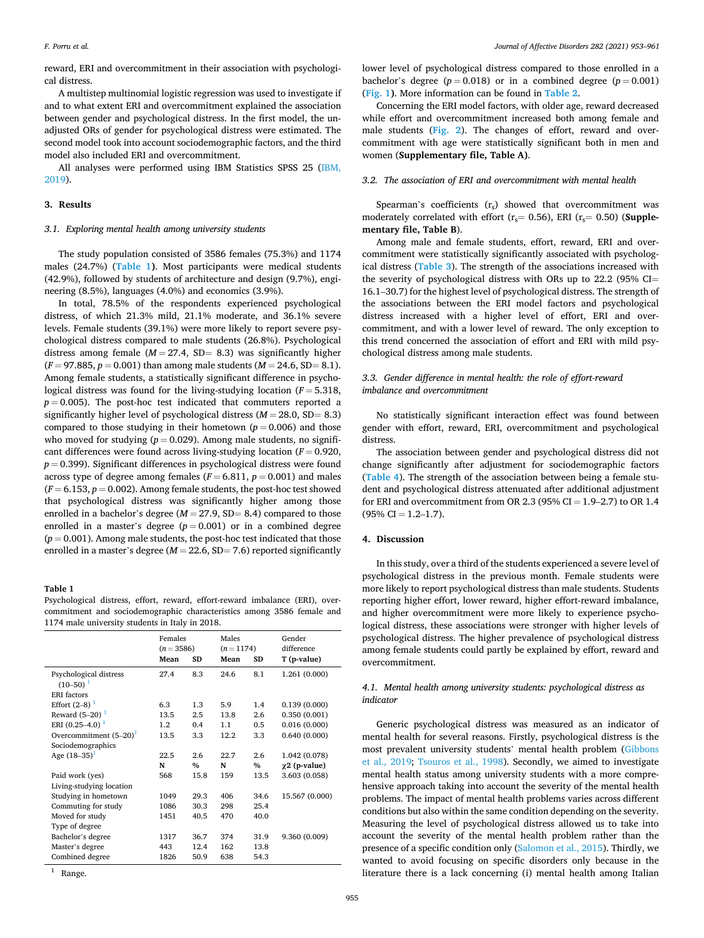reward, ERI and overcommitment in their association with psychological distress.

A multistep multinomial logistic regression was used to investigate if and to what extent ERI and overcommitment explained the association between gender and psychological distress. In the first model, the unadjusted ORs of gender for psychological distress were estimated. The second model took into account sociodemographic factors, and the third model also included ERI and overcommitment.

All analyses were performed using IBM Statistics SPSS 25 (IBM, [2019\)](#page-7-0).

## **3. Results**

## *3.1. Exploring mental health among university students*

The study population consisted of 3586 females (75.3%) and 1174 males (24.7%) (**Table 1)**. Most participants were medical students (42.9%), followed by students of architecture and design (9.7%), engineering (8.5%), languages (4.0%) and economics (3.9%).

In total, 78.5% of the respondents experienced psychological distress, of which 21.3% mild, 21.1% moderate, and 36.1% severe levels. Female students (39.1%) were more likely to report severe psychological distress compared to male students (26.8%). Psychological distress among female  $(M = 27.4, SD = 8.3)$  was significantly higher  $(F = 97.885, p = 0.001)$  than among male students  $(M = 24.6, SD = 8.1)$ . Among female students, a statistically significant difference in psychological distress was found for the living-studying location (*F* = 5.318,  $p = 0.005$ ). The post-hoc test indicated that commuters reported a significantly higher level of psychological distress  $(M = 28.0, SD = 8.3)$ compared to those studying in their hometown  $(p = 0.006)$  and those who moved for studying  $(p = 0.029)$ . Among male students, no significant differences were found across living-studying location (*F* = 0.920,  $p = 0.399$ ). Significant differences in psychological distress were found across type of degree among females  $(F = 6.811, p = 0.001)$  and males  $(F = 6.153, p = 0.002)$ . Among female students, the post-hoc test showed that psychological distress was significantly higher among those enrolled in a bachelor's degree  $(M = 27.9, SD = 8.4)$  compared to those enrolled in a master's degree  $(p = 0.001)$  or in a combined degree  $(p = 0.001)$ . Among male students, the post-hoc test indicated that those enrolled in a master's degree  $(M = 22.6, SD = 7.6)$  reported significantly

#### **Table 1**

Psychological distress, effort, reward, effort-reward imbalance (ERI), overcommitment and sociodemographic characteristics among 3586 female and 1174 male university students in Italy in 2018.

|                           | Females<br>$(n = 3586)$<br>Mean<br>SD |      | Males<br>$(n=1174)$<br>SD<br>Mean |               | Gender<br>difference<br>T (p-value) |  |
|---------------------------|---------------------------------------|------|-----------------------------------|---------------|-------------------------------------|--|
|                           |                                       |      |                                   |               |                                     |  |
| Psychological distress    | 27.4                                  | 8.3  | 24.6                              | 8.1           | 1.261 (0.000)                       |  |
| $(10-50)^1$               |                                       |      |                                   |               |                                     |  |
| <b>ERI</b> factors        |                                       |      |                                   |               |                                     |  |
| Effort $(2-8)^1$          | 6.3                                   | 1.3  | 5.9                               | 1.4           | 0.139(0.000)                        |  |
| Reward $(5-20)^1$         | 13.5                                  | 2.5  | 13.8                              | 2.6           | 0.350(0.001)                        |  |
| ERI $(0.25-4.0)^{-1}$     | 1.2                                   | 0.4  | 1.1                               | 0.5           | 0.016(0.000)                        |  |
| Overcommitment $(5-20)^1$ | 13.5                                  | 3.3  | 12.2                              | 3.3           | 0.640(0.000)                        |  |
| Sociodemographics         |                                       |      |                                   |               |                                     |  |
| Age $(18-35)^1$           | 22.5                                  | 2.6  | 22.7                              | 2.6           | 1.042 (0.078)                       |  |
|                           | N                                     | $\%$ | N                                 | $\frac{9}{6}$ | $\chi$ 2 (p-value)                  |  |
| Paid work (yes)           | 568                                   | 15.8 | 159                               | 13.5          | 3.603 (0.058)                       |  |
| Living-studying location  |                                       |      |                                   |               |                                     |  |
| Studying in hometown      | 1049                                  | 29.3 | 406                               | 34.6          | 15.567 (0.000)                      |  |
| Commuting for study       | 1086                                  | 30.3 | 298                               | 25.4          |                                     |  |
| Moved for study           | 1451                                  | 40.5 | 470                               | 40.0          |                                     |  |
| Type of degree            |                                       |      |                                   |               |                                     |  |
| Bachelor's degree         | 1317                                  | 36.7 | 374                               | 31.9          | 9.360 (0.009)                       |  |
| Master's degree           | 443                                   | 12.4 | 162                               | 13.8          |                                     |  |
| Combined degree           | 1826                                  | 50.9 | 638                               | 54.3          |                                     |  |

Range.

lower level of psychological distress compared to those enrolled in a bachelor's degree  $(p = 0.018)$  or in a combined degree  $(p = 0.001)$ (**[Fig. 1\)](#page-3-0)**. More information can be found in **[Table 2](#page-3-0)**.

Concerning the ERI model factors, with older age, reward decreased while effort and overcommitment increased both among female and male students (**[Fig. 2](#page-4-0)**). The changes of effort, reward and overcommitment with age were statistically significant both in men and women (**Supplementary file, Table A)**.

#### *3.2. The association of ERI and overcommitment with mental health*

Spearman's coefficients  $(r<sub>s</sub>)$  showed that overcommitment was moderately correlated with effort  $(r_s = 0.56)$ , ERI  $(r_s = 0.50)$  (**Supplementary file, Table B**).

Among male and female students, effort, reward, ERI and overcommitment were statistically significantly associated with psychological distress (**[Table 3](#page-5-0)**). The strength of the associations increased with the severity of psychological distress with ORs up to 22.2 (95% CI= 16.1–30.7) for the highest level of psychological distress. The strength of the associations between the ERI model factors and psychological distress increased with a higher level of effort, ERI and overcommitment, and with a lower level of reward. The only exception to this trend concerned the association of effort and ERI with mild psychological distress among male students.

## *3.3. Gender difference in mental health: the role of effort-reward imbalance and overcommitment*

No statistically significant interaction effect was found between gender with effort, reward, ERI, overcommitment and psychological distress.

The association between gender and psychological distress did not change significantly after adjustment for sociodemographic factors (**[Table 4](#page-5-0)**). The strength of the association between being a female student and psychological distress attenuated after additional adjustment for ERI and overcommitment from OR 2.3 (95% CI =  $1.9-2.7$ ) to OR 1.4  $(95\% \text{ CI} = 1.2 - 1.7).$ 

## **4. Discussion**

In this study, over a third of the students experienced a severe level of psychological distress in the previous month. Female students were more likely to report psychological distress than male students. Students reporting higher effort, lower reward, higher effort-reward imbalance, and higher overcommitment were more likely to experience psychological distress, these associations were stronger with higher levels of psychological distress. The higher prevalence of psychological distress among female students could partly be explained by effort, reward and overcommitment.

## *4.1. Mental health among university students: psychological distress as indicator*

Generic psychological distress was measured as an indicator of mental health for several reasons. Firstly, psychological distress is the most prevalent university students' mental health problem ([Gibbons](#page-7-0)  [et al., 2019](#page-7-0); [Tsouros et al., 1998\)](#page-8-0). Secondly, we aimed to investigate mental health status among university students with a more comprehensive approach taking into account the severity of the mental health problems. The impact of mental health problems varies across different conditions but also within the same condition depending on the severity. Measuring the level of psychological distress allowed us to take into account the severity of the mental health problem rather than the presence of a specific condition only [\(Salomon et al., 2015](#page-8-0)). Thirdly, we wanted to avoid focusing on specific disorders only because in the literature there is a lack concerning (i) mental health among Italian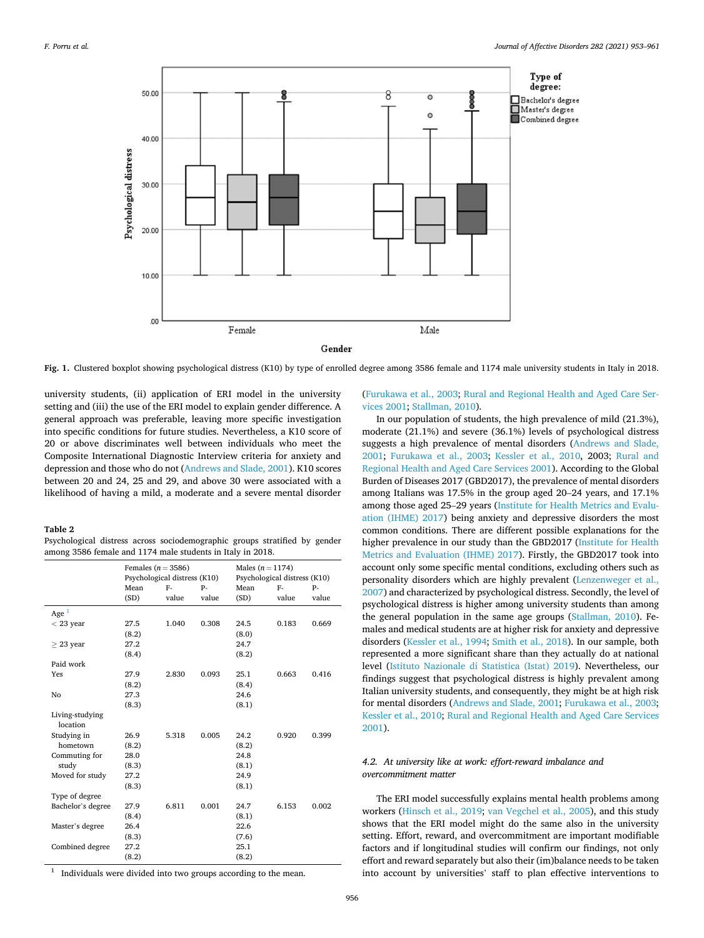<span id="page-3-0"></span>

**Fig. 1.** Clustered boxplot showing psychological distress (K10) by type of enrolled degree among 3586 female and 1174 male university students in Italy in 2018.

university students, (ii) application of ERI model in the university setting and (iii) the use of the ERI model to explain gender difference. A general approach was preferable, leaving more specific investigation into specific conditions for future studies. Nevertheless, a K10 score of 20 or above discriminates well between individuals who meet the Composite International Diagnostic Interview criteria for anxiety and depression and those who do not [\(Andrews and Slade, 2001](#page-7-0)). K10 scores between 20 and 24, 25 and 29, and above 30 were associated with a likelihood of having a mild, a moderate and a severe mental disorder

**Table 2** 

|  | Psychological distress across sociodemographic groups stratified by gender |  |  |
|--|----------------------------------------------------------------------------|--|--|
|  | among 3586 female and 1174 male students in Italy in 2018.                 |  |  |

|                   | Females ( $n = 3586$ )       |       |       | Males $(n = 1174)$           |       |       |  |
|-------------------|------------------------------|-------|-------|------------------------------|-------|-------|--|
|                   | Psychological distress (K10) |       |       | Psychological distress (K10) |       |       |  |
|                   | Mean                         | F-    | p.    | Mean                         | $F -$ | p.    |  |
|                   | (SD)                         | value | value | (SD)                         | value | value |  |
| Age $1$           |                              |       |       |                              |       |       |  |
| $<$ 23 year       | 27.5                         | 1.040 | 0.308 | 24.5                         | 0.183 | 0.669 |  |
|                   | (8.2)                        |       |       | (8.0)                        |       |       |  |
| $\geq$ 23 year    | 27.2                         |       |       | 24.7                         |       |       |  |
|                   | (8.4)                        |       |       | (8.2)                        |       |       |  |
| Paid work         |                              |       |       |                              |       |       |  |
| Yes               | 27.9                         | 2.830 | 0.093 | 25.1                         | 0.663 | 0.416 |  |
|                   | (8.2)                        |       |       | (8.4)                        |       |       |  |
| No                | 27.3                         |       |       | 24.6                         |       |       |  |
|                   | (8.3)                        |       |       | (8.1)                        |       |       |  |
| Living-studying   |                              |       |       |                              |       |       |  |
| location          |                              |       |       |                              |       |       |  |
| Studying in       | 26.9                         | 5.318 | 0.005 | 24.2                         | 0.920 | 0.399 |  |
| hometown          | (8.2)                        |       |       | (8.2)                        |       |       |  |
| Commuting for     | 28.0                         |       |       | 24.8                         |       |       |  |
| study             | (8.3)                        |       |       | (8.1)                        |       |       |  |
| Moved for study   | 27.2                         |       |       | 24.9                         |       |       |  |
|                   | (8.3)                        |       |       | (8.1)                        |       |       |  |
| Type of degree    |                              |       |       |                              |       |       |  |
| Bachelor's degree | 27.9                         | 6.811 | 0.001 | 24.7                         | 6.153 | 0.002 |  |
|                   | (8.4)                        |       |       | (8.1)                        |       |       |  |
| Master's degree   | 26.4                         |       |       | 22.6                         |       |       |  |
|                   | (8.3)                        |       |       | (7.6)                        |       |       |  |
| Combined degree   | 27.2                         |       |       | 25.1                         |       |       |  |
|                   | (8.2)                        |       |       | (8.2)                        |       |       |  |

 $1$  Individuals were divided into two groups according to the mean.

([Furukawa et al., 2003;](#page-7-0) [Rural and Regional Health and Aged Care Ser](#page-8-0)[vices 2001](#page-8-0); [Stallman, 2010\)](#page-8-0).

In our population of students, the high prevalence of mild (21.3%), moderate (21.1%) and severe (36.1%) levels of psychological distress suggests a high prevalence of mental disorders [\(Andrews and Slade,](#page-7-0)  [2001;](#page-7-0) [Furukawa et al., 2003](#page-7-0); [Kessler et al., 2010](#page-7-0), 2003; [Rural and](#page-8-0)  [Regional Health and Aged Care Services 2001](#page-8-0)). According to the Global Burden of Diseases 2017 (GBD2017), the prevalence of mental disorders among Italians was 17.5% in the group aged 20–24 years, and 17.1% among those aged 25–29 years [\(Institute for Health Metrics and Evalu](#page-7-0)[ation \(IHME\) 2017](#page-7-0)) being anxiety and depressive disorders the most common conditions. There are different possible explanations for the higher prevalence in our study than the GBD2017 ([Institute for Health](#page-7-0)  [Metrics and Evaluation \(IHME\) 2017](#page-7-0)). Firstly, the GBD2017 took into account only some specific mental conditions, excluding others such as personality disorders which are highly prevalent ([Lenzenweger et al.,](#page-7-0)  [2007\)](#page-7-0) and characterized by psychological distress. Secondly, the level of psychological distress is higher among university students than among the general population in the same age groups ([Stallman, 2010](#page-8-0)). Females and medical students are at higher risk for anxiety and depressive disorders [\(Kessler et al., 1994](#page-7-0); [Smith et al., 2018](#page-8-0)). In our sample, both represented a more significant share than they actually do at national level ([Istituto Nazionale di Statistica \(Istat\) 2019](#page-7-0)). Nevertheless, our findings suggest that psychological distress is highly prevalent among Italian university students, and consequently, they might be at high risk for mental disorders [\(Andrews and Slade, 2001](#page-7-0); [Furukawa et al., 2003](#page-7-0); [Kessler et al., 2010;](#page-7-0) [Rural and Regional Health and Aged Care Services](#page-8-0)  [2001\)](#page-8-0).

## *4.2. At university like at work: effort-reward imbalance and overcommitment matter*

The ERI model successfully explains mental health problems among workers [\(Hinsch et al., 2019;](#page-7-0) [van Vegchel et al., 2005\)](#page-8-0), and this study shows that the ERI model might do the same also in the university setting. Effort, reward, and overcommitment are important modifiable factors and if longitudinal studies will confirm our findings, not only effort and reward separately but also their (im)balance needs to be taken into account by universities' staff to plan effective interventions to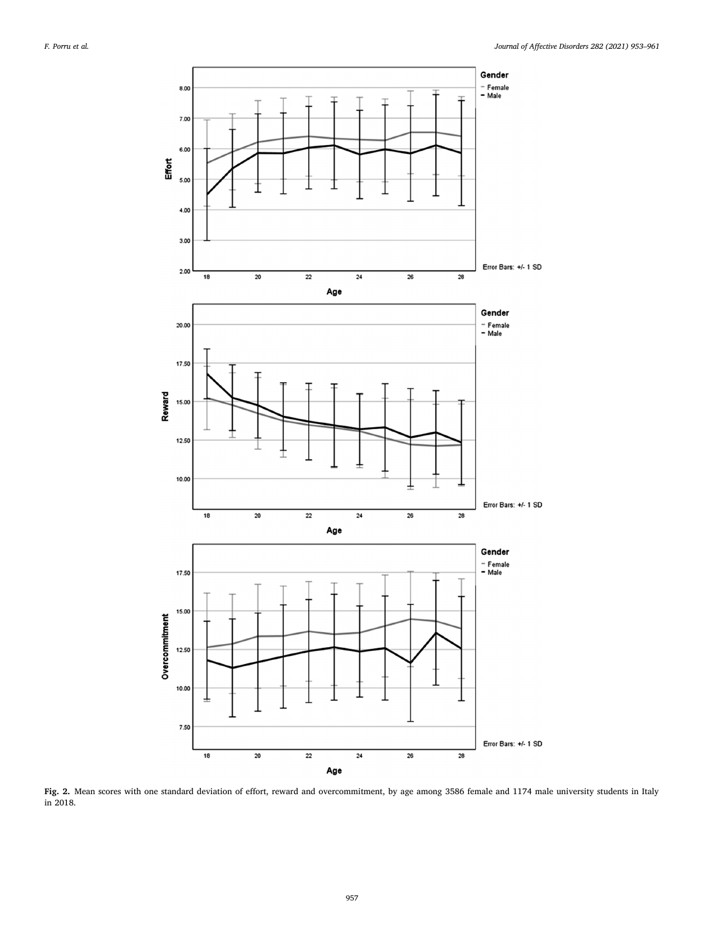<span id="page-4-0"></span>

**Fig. 2.** Mean scores with one standard deviation of effort, reward and overcommitment, by age among 3586 female and 1174 male university students in Italy in 2018.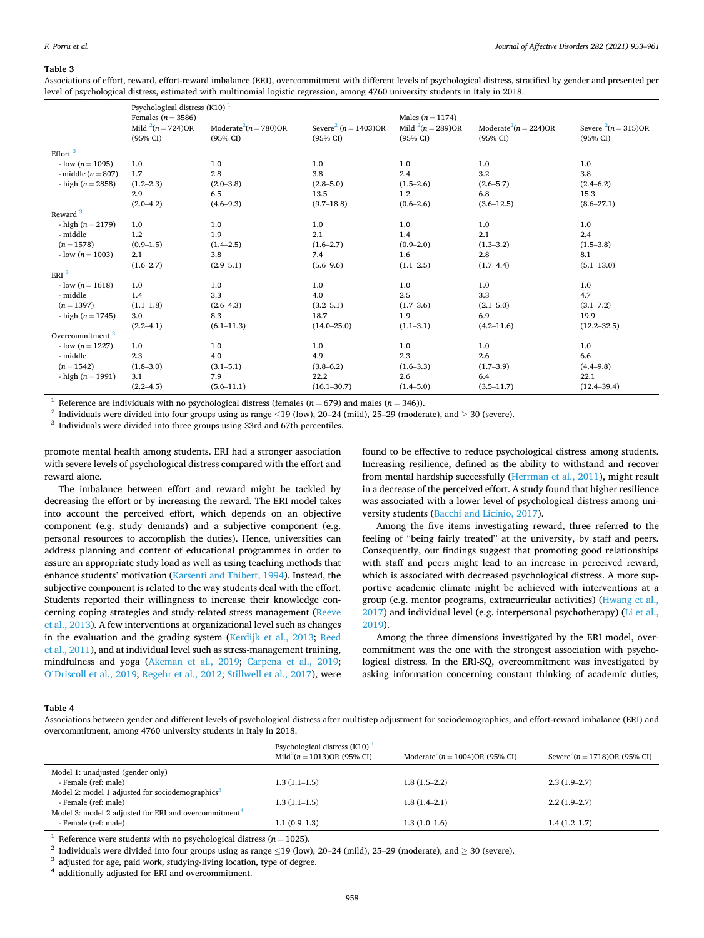#### <span id="page-5-0"></span>**Table 3**

Associations of effort, reward, effort-reward imbalance (ERI), overcommitment with different levels of psychological distress, stratified by gender and presented per level of psychological distress, estimated with multinomial logistic regression, among 4760 university students in Italy in 2018.

|                             | Psychological distress $(K10)$ <sup>1</sup>                   |                                                  |                                                  |                                                             |                                                  |                                     |  |
|-----------------------------|---------------------------------------------------------------|--------------------------------------------------|--------------------------------------------------|-------------------------------------------------------------|--------------------------------------------------|-------------------------------------|--|
|                             | Females ( $n = 3586$ )<br>Mild $^{2}(n = 724)$ OR<br>(95% CI) | Moderate <sup>2</sup> $(n = 780)$ OR<br>(95% CI) | Severe <sup>2</sup> ( $n = 1403$ )OR<br>(95% CI) | Males ( $n = 1174$ )<br>Mild $^{2}(n = 289)$ OR<br>(95% CI) | Moderate <sup>2</sup> $(n = 224)$ OR<br>(95% CI) | Severe $^{2}(n=315)$ OR<br>(95% CI) |  |
| Effort $3$                  |                                                               |                                                  |                                                  |                                                             |                                                  |                                     |  |
| $-$ low $(n = 1095)$        | 1.0                                                           | 1.0                                              | 1.0                                              | 1.0                                                         | 1.0                                              | 1.0                                 |  |
| - middle $(n = 807)$        | 1.7                                                           | 2.8                                              | 3.8                                              | 2.4                                                         | 3.2                                              | 3.8                                 |  |
| - high $(n = 2858)$         | $(1.2 - 2.3)$                                                 | $(2.0 - 3.8)$                                    | $(2.8 - 5.0)$                                    | $(1.5 - 2.6)$                                               | $(2.6 - 5.7)$                                    | $(2.4 - 6.2)$                       |  |
|                             | 2.9                                                           | 6.5                                              | 13.5                                             | 1.2                                                         | 6.8                                              | 15.3                                |  |
|                             | $(2.0 - 4.2)$                                                 | $(4.6 - 9.3)$                                    | $(9.7 - 18.8)$                                   | $(0.6 - 2.6)$                                               | $(3.6 - 12.5)$                                   | $(8.6 - 27.1)$                      |  |
| Reward <sup>3</sup>         |                                                               |                                                  |                                                  |                                                             |                                                  |                                     |  |
| - high $(n = 2179)$         | 1.0                                                           | 1.0                                              | 1.0                                              | 1.0                                                         | 1.0                                              | 1.0                                 |  |
| - middle                    | 1.2                                                           | 1.9                                              | 2.1                                              | 1.4                                                         | 2.1                                              | 2.4                                 |  |
| $(n = 1578)$                | $(0.9 - 1.5)$                                                 | $(1.4 - 2.5)$                                    | $(1.6 - 2.7)$                                    | $(0.9 - 2.0)$                                               | $(1.3 - 3.2)$                                    | $(1.5 - 3.8)$                       |  |
| $-$ low $(n = 1003)$        | 2.1                                                           | 3.8                                              | 7.4                                              | 1.6                                                         | 2.8                                              | 8.1                                 |  |
|                             | $(1.6 - 2.7)$                                                 | $(2.9 - 5.1)$                                    | $(5.6 - 9.6)$                                    | $(1.1 - 2.5)$                                               | $(1.7-4.4)$                                      | $(5.1 - 13.0)$                      |  |
| ERI <sup>3</sup>            |                                                               |                                                  |                                                  |                                                             |                                                  |                                     |  |
| $-$ low $(n = 1618)$        | 1.0                                                           | 1.0                                              | 1.0                                              | 1.0                                                         | 1.0                                              | 1.0                                 |  |
| - middle                    | 1.4                                                           | 3.3                                              | 4.0                                              | 2.5                                                         | 3.3                                              | 4.7                                 |  |
| $(n=1397)$                  | $(1.1 - 1.8)$                                                 | $(2.6 - 4.3)$                                    | $(3.2 - 5.1)$                                    | $(1.7 - 3.6)$                                               | $(2.1 - 5.0)$                                    | $(3.1 - 7.2)$                       |  |
| - high $(n = 1745)$         | 3.0                                                           | 8.3                                              | 18.7                                             | 1.9                                                         | 6.9                                              | 19.9                                |  |
|                             | $(2.2 - 4.1)$                                                 | $(6.1 - 11.3)$                                   | $(14.0 - 25.0)$                                  | $(1.1 - 3.1)$                                               | $(4.2 - 11.6)$                                   | $(12.2 - 32.5)$                     |  |
| Overcommitment <sup>3</sup> |                                                               |                                                  |                                                  |                                                             |                                                  |                                     |  |
| $-$ low $(n = 1227)$        | 1.0                                                           | 1.0                                              | 1.0                                              | 1.0                                                         | 1.0                                              | 1.0                                 |  |
| - middle                    | 2.3                                                           | 4.0                                              | 4.9                                              | 2.3                                                         | 2.6                                              | 6.6                                 |  |
| $(n=1542)$                  | $(1.8 - 3.0)$                                                 | $(3.1 - 5.1)$                                    | $(3.8 - 6.2)$                                    | $(1.6 - 3.3)$                                               | $(1.7 - 3.9)$                                    | $(4.4 - 9.8)$                       |  |
| - high $(n = 1991)$         | 3.1                                                           | 7.9                                              | 22.2                                             | 2.6                                                         | 6.4                                              | 22.1                                |  |
|                             | $(2.2 - 4.5)$                                                 | $(5.6 - 11.1)$                                   | $(16.1 - 30.7)$                                  | $(1.4 - 5.0)$                                               | $(3.5 - 11.7)$                                   | $(12.4 - 39.4)$                     |  |

<sup>1</sup> Reference are individuals with no psychological distress (females ( $n = 679$ ) and males ( $n = 346$ )).<br><sup>2</sup> Individuals were divided into four groups using as range  $\leq$ 19 (low), 20–24 (mild), 25–29 (moderate), and  $\geq$ 

promote mental health among students. ERI had a stronger association with severe levels of psychological distress compared with the effort and reward alone.

The imbalance between effort and reward might be tackled by decreasing the effort or by increasing the reward. The ERI model takes into account the perceived effort, which depends on an objective component (e.g. study demands) and a subjective component (e.g. personal resources to accomplish the duties). Hence, universities can address planning and content of educational programmes in order to assure an appropriate study load as well as using teaching methods that enhance students' motivation [\(Karsenti and Thibert, 1994](#page-7-0)). Instead, the subjective component is related to the way students deal with the effort. Students reported their willingness to increase their knowledge concerning coping strategies and study-related stress management ([Reeve](#page-8-0)  [et al., 2013\)](#page-8-0). A few interventions at organizational level such as changes in the evaluation and the grading system ([Kerdijk et al., 2013;](#page-7-0) [Reed](#page-8-0)  [et al., 2011\)](#page-8-0), and at individual level such as stress-management training, mindfulness and yoga ([Akeman et al., 2019;](#page-7-0) [Carpena et al., 2019](#page-7-0); O'[Driscoll et al., 2019;](#page-7-0) [Regehr et al., 2012; Stillwell et al., 2017\)](#page-8-0), were

found to be effective to reduce psychological distress among students. Increasing resilience, defined as the ability to withstand and recover from mental hardship successfully ([Herrman et al., 2011](#page-7-0)), might result in a decrease of the perceived effort. A study found that higher resilience was associated with a lower level of psychological distress among university students [\(Bacchi and Licinio, 2017](#page-7-0)).

Among the five items investigating reward, three referred to the feeling of "being fairly treated" at the university, by staff and peers. Consequently, our findings suggest that promoting good relationships with staff and peers might lead to an increase in perceived reward, which is associated with decreased psychological distress. A more supportive academic climate might be achieved with interventions at a group (e.g. mentor programs, extracurricular activities) ([Hwang et al.,](#page-7-0)  [2017\)](#page-7-0) and individual level (e.g. interpersonal psychotherapy) ([Li et al.,](#page-7-0)  [2019\)](#page-7-0).

Among the three dimensions investigated by the ERI model, overcommitment was the one with the strongest association with psychological distress. In the ERI-SQ, overcommitment was investigated by asking information concerning constant thinking of academic duties,

#### **Table 4**

Associations between gender and different levels of psychological distress after multistep adjustment for sociodemographics, and effort-reward imbalance (ERI) and overcommitment, among 4760 university students in Italy in 2018.

| Psychological distress $(K10)$ <sup>1</sup><br>Mild <sup>2</sup> $(n = 1013)$ OR (95% CI) | Moderate <sup>2</sup> $(n = 1004)$ OR (95% CI) | Severe <sup>2</sup> $(n = 1718)$ OR (95% CI) |
|-------------------------------------------------------------------------------------------|------------------------------------------------|----------------------------------------------|
|                                                                                           |                                                |                                              |
| $1.3(1.1-1.5)$                                                                            | $1.8(1.5-2.2)$                                 | $2.3(1.9-2.7)$                               |
|                                                                                           |                                                |                                              |
| $1.3(1.1-1.5)$                                                                            | $1.8(1.4-2.1)$                                 | $2.2(1.9-2.7)$                               |
|                                                                                           |                                                |                                              |
| $1.1(0.9-1.3)$                                                                            | $1.3(1.0-1.6)$                                 | $1.4(1.2-1.7)$                               |
|                                                                                           |                                                |                                              |

<sup>1</sup> Reference were students with no psychological distress ( $n = 1025$ ).<br><sup>2</sup> Individuals were divided into four groups using as range  $\leq$ 19 (low), 20–24 (mild), 25–29 (moderate), and  $\geq$  30 (severe).<br><sup>3</sup> adjusted for a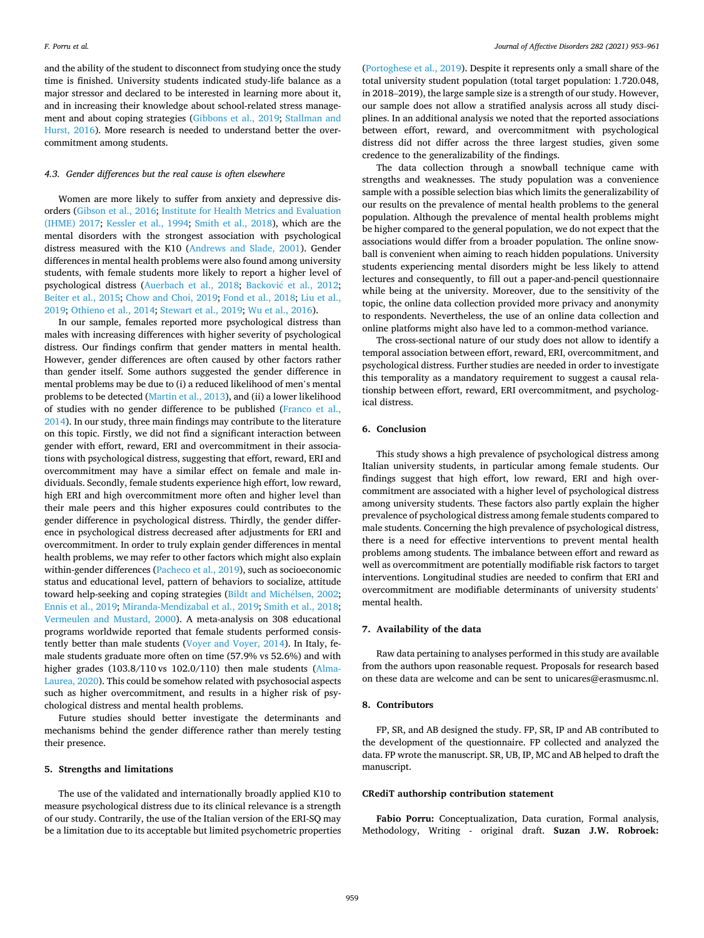and the ability of the student to disconnect from studying once the study time is finished. University students indicated study-life balance as a major stressor and declared to be interested in learning more about it, and in increasing their knowledge about school-related stress management and about coping strategies [\(Gibbons et al., 2019](#page-7-0); [Stallman and](#page-8-0)  [Hurst, 2016](#page-8-0)). More research is needed to understand better the overcommitment among students.

#### *4.3. Gender differences but the real cause is often elsewhere*

Women are more likely to suffer from anxiety and depressive disorders [\(Gibson et al., 2016](#page-7-0); [Institute for Health Metrics and Evaluation](#page-7-0)  [\(IHME\) 2017;](#page-7-0) [Kessler et al., 1994;](#page-7-0) [Smith et al., 2018](#page-8-0)), which are the mental disorders with the strongest association with psychological distress measured with the K10 [\(Andrews and Slade, 2001](#page-7-0)). Gender differences in mental health problems were also found among university students, with female students more likely to report a higher level of psychological distress [\(Auerbach et al., 2018](#page-7-0); Backović et al., 2012; [Beiter et al., 2015;](#page-7-0) [Chow and Choi, 2019](#page-7-0); [Fond et al., 2018;](#page-7-0) [Liu et al.,](#page-7-0)  [2019;](#page-7-0) [Othieno et al., 2014](#page-8-0); [Stewart et al., 2019](#page-8-0); [Wu et al., 2016](#page-8-0)).

In our sample, females reported more psychological distress than males with increasing differences with higher severity of psychological distress. Our findings confirm that gender matters in mental health. However, gender differences are often caused by other factors rather than gender itself. Some authors suggested the gender difference in mental problems may be due to (i) a reduced likelihood of men's mental problems to be detected ([Martin et al., 2013\)](#page-7-0), and (ii) a lower likelihood of studies with no gender difference to be published ([Franco et al.,](#page-7-0)  [2014\)](#page-7-0). In our study, three main findings may contribute to the literature on this topic. Firstly, we did not find a significant interaction between gender with effort, reward, ERI and overcommitment in their associations with psychological distress, suggesting that effort, reward, ERI and overcommitment may have a similar effect on female and male individuals. Secondly, female students experience high effort, low reward, high ERI and high overcommitment more often and higher level than their male peers and this higher exposures could contributes to the gender difference in psychological distress. Thirdly, the gender difference in psychological distress decreased after adjustments for ERI and overcommitment. In order to truly explain gender differences in mental health problems, we may refer to other factors which might also explain within-gender differences [\(Pacheco et al., 2019\)](#page-8-0), such as socioeconomic status and educational level, pattern of behaviors to socialize, attitude toward help-seeking and coping strategies ([Bildt and Mich](#page-7-0)élsen, 2002; [Ennis et al., 2019](#page-7-0); [Miranda-Mendizabal et al., 2019](#page-7-0); [Smith et al., 2018](#page-8-0); [Vermeulen and Mustard, 2000\)](#page-8-0). A meta-analysis on 308 educational programs worldwide reported that female students performed consistently better than male students ([Voyer and Voyer, 2014\)](#page-8-0). In Italy, female students graduate more often on time (57.9% vs 52.6%) and with higher grades (103.8/110 vs 102.0/110) then male students ([Alma-](#page-7-0)[Laurea, 2020](#page-7-0)). This could be somehow related with psychosocial aspects such as higher overcommitment, and results in a higher risk of psychological distress and mental health problems.

Future studies should better investigate the determinants and mechanisms behind the gender difference rather than merely testing their presence.

## **5. Strengths and limitations**

The use of the validated and internationally broadly applied K10 to measure psychological distress due to its clinical relevance is a strength of our study. Contrarily, the use of the Italian version of the ERI-SQ may be a limitation due to its acceptable but limited psychometric properties

([Portoghese et al., 2019](#page-8-0)). Despite it represents only a small share of the total university student population (total target population: 1.720.048, in 2018–2019), the large sample size is a strength of our study. However, our sample does not allow a stratified analysis across all study disciplines. In an additional analysis we noted that the reported associations between effort, reward, and overcommitment with psychological distress did not differ across the three largest studies, given some credence to the generalizability of the findings.

The data collection through a snowball technique came with strengths and weaknesses. The study population was a convenience sample with a possible selection bias which limits the generalizability of our results on the prevalence of mental health problems to the general population. Although the prevalence of mental health problems might be higher compared to the general population, we do not expect that the associations would differ from a broader population. The online snowball is convenient when aiming to reach hidden populations. University students experiencing mental disorders might be less likely to attend lectures and consequently, to fill out a paper-and-pencil questionnaire while being at the university. Moreover, due to the sensitivity of the topic, the online data collection provided more privacy and anonymity to respondents. Nevertheless, the use of an online data collection and online platforms might also have led to a common-method variance.

The cross-sectional nature of our study does not allow to identify a temporal association between effort, reward, ERI, overcommitment, and psychological distress. Further studies are needed in order to investigate this temporality as a mandatory requirement to suggest a causal relationship between effort, reward, ERI overcommitment, and psychological distress.

#### **6. Conclusion**

This study shows a high prevalence of psychological distress among Italian university students, in particular among female students. Our findings suggest that high effort, low reward, ERI and high overcommitment are associated with a higher level of psychological distress among university students. These factors also partly explain the higher prevalence of psychological distress among female students compared to male students. Concerning the high prevalence of psychological distress, there is a need for effective interventions to prevent mental health problems among students. The imbalance between effort and reward as well as overcommitment are potentially modifiable risk factors to target interventions. Longitudinal studies are needed to confirm that ERI and overcommitment are modifiable determinants of university students' mental health.

## **7. Availability of the data**

Raw data pertaining to analyses performed in this study are available from the authors upon reasonable request. Proposals for research based on these data are welcome and can be sent to unicares@erasmusmc.nl.

#### **8. Contributors**

FP, SR, and AB designed the study. FP, SR, IP and AB contributed to the development of the questionnaire. FP collected and analyzed the data. FP wrote the manuscript. SR, UB, IP, MC and AB helped to draft the manuscript.

## **CRediT authorship contribution statement**

**Fabio Porru:** Conceptualization, Data curation, Formal analysis, Methodology, Writing - original draft. **Suzan J.W. Robroek:**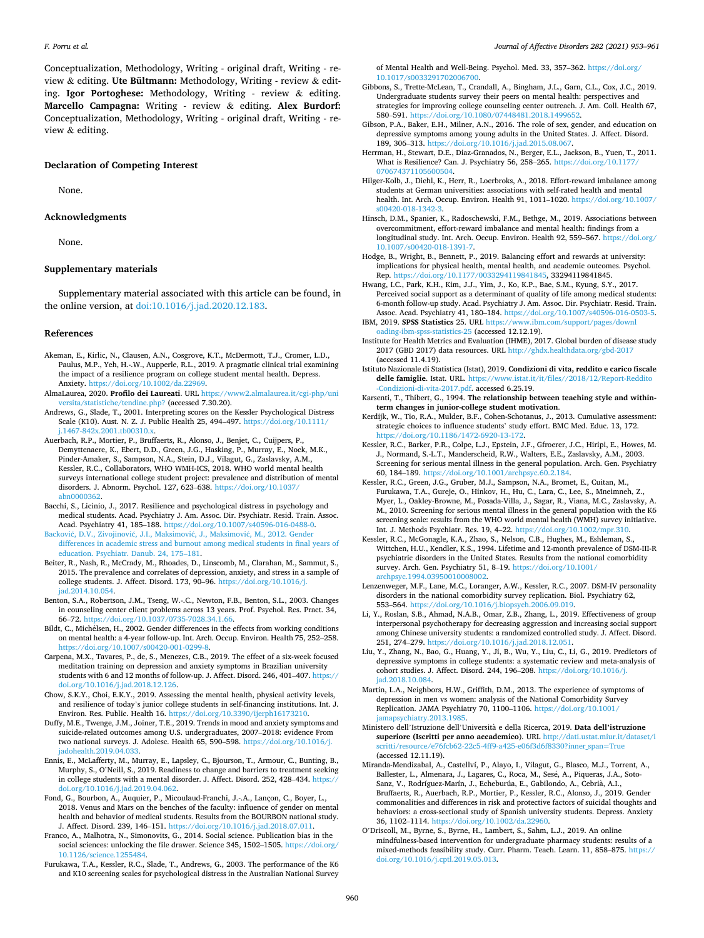<span id="page-7-0"></span>Conceptualization, Methodology, Writing - original draft, Writing - review & editing. **Ute Bültmann:** Methodology, Writing - review & editing. **Igor Portoghese:** Methodology, Writing - review & editing. **Marcello Campagna:** Writing - review & editing. **Alex Burdorf:**  Conceptualization, Methodology, Writing - original draft, Writing - review & editing.

#### **Declaration of Competing Interest**

None.

## **Acknowledgments**

None.

### **Supplementary materials**

Supplementary material associated with this article can be found, in the online version, at [doi:10.1016/j.jad.2020.12.183](https://doi.org/10.1016/j.jad.2020.12.183).

#### **References**

- Akeman, E., Kirlic, N., Clausen, A.N., Cosgrove, K.T., McDermott, T.J., Cromer, L.D., Paulus, M.P., Yeh, H.-.W., Aupperle, R.L., 2019. A pragmatic clinical trial examining the impact of a resilience program on college student mental health. Depress. Anxiety. [https://doi.org/10.1002/da.22969.](https://doi.org/10.1002/da.22969)
- AlmaLaurea, 2020. **Profilo dei Laureati**. URL [https://www2.almalaurea.it/cgi-php/uni](https://www2.almalaurea.it/cgi-php/universita/statistiche/tendine.php?)  [versita/statistiche/tendine.php?](https://www2.almalaurea.it/cgi-php/universita/statistiche/tendine.php?) (accessed 7.30.20).
- Andrews, G., Slade, T., 2001. Interpreting scores on the Kessler Psychological Distress Scale (K10). Aust. N. Z. J. Public Health 25, 494–497. [https://doi.org/10.1111/](https://doi.org/10.1111/j.1467-842x.2001.tb00310.x)  $i.1467 - 842x.2001$ .tb00310.x
- Auerbach, R.P., Mortier, P., Bruffaerts, R., Alonso, J., Benjet, C., Cuijpers, P., Demyttenaere, K., Ebert, D.D., Green, J.G., Hasking, P., Murray, E., Nock, M.K., Pinder-Amaker, S., Sampson, N.A., Stein, D.J., Vilagut, G., Zaslavsky, A.M., Kessler, R.C., Collaborators, WHO WMH-ICS, 2018. WHO world mental health surveys international college student project: prevalence and distribution of mental disorders. J. Abnorm. Psychol. 127, 623–638. [https://doi.org/10.1037/](https://doi.org/10.1037/abn0000362)  [abn0000362](https://doi.org/10.1037/abn0000362).
- Bacchi, S., Licinio, J., 2017. Resilience and psychological distress in psychology and medical students. Acad. Psychiatry J. Am. Assoc. Dir. Psychiatr. Resid. Train. Assoc. Acad. Psychiatry 41, 185–188. <https://doi.org/10.1007/s40596-016-0488-0>.
- Backović, D.V., Zivojinović, J.I., Maksimović, J., Maksimović, M., 2012. Gender [differences in academic stress and burnout among medical students in final years of](http://refhub.elsevier.com/S0165-0327(20)33273-0/sbref0006)  [education. Psychiatr. Danub. 24, 175](http://refhub.elsevier.com/S0165-0327(20)33273-0/sbref0006)–181.
- Beiter, R., Nash, R., McCrady, M., Rhoades, D., Linscomb, M., Clarahan, M., Sammut, S., 2015. The prevalence and correlates of depression, anxiety, and stress in a sample of college students. J. Affect. Disord. 173, 90–96. [https://doi.org/10.1016/j.](https://doi.org/10.1016/j.jad.2014.10.054) [jad.2014.10.054.](https://doi.org/10.1016/j.jad.2014.10.054)
- Benton, S.A., Robertson, J.M., Tseng, W.-.C., Newton, F.B., Benton, S.L., 2003. Changes in counseling center client problems across 13 years. Prof. Psychol. Res. Pract. 34, 66–72. [https://doi.org/10.1037/0735-7028.34.1.66.](https://doi.org/10.1037/0735-7028.34.1.66)
- Bildt, C., Michélsen, H., 2002. Gender differences in the effects from working conditions on mental health: a 4-year follow-up. Int. Arch. Occup. Environ. Health 75, 252–258. [https://doi.org/10.1007/s00420-001-0299-8.](https://doi.org/10.1007/s00420-001-0299-8)
- Carpena, M.X., Tavares, P., de, S., Menezes, C.B., 2019. The effect of a six-week focused meditation training on depression and anxiety symptoms in Brazilian university students with 6 and 12 months of follow-up. J. Affect. Disord. 246, 401–407. [https://](https://doi.org/10.1016/j.jad.2018.12.126)  [doi.org/10.1016/j.jad.2018.12.126](https://doi.org/10.1016/j.jad.2018.12.126).
- Chow, S.K.Y., Choi, E.K.Y., 2019. Assessing the mental health, physical activity levels, and resilience of today's junior college students in self-financing institutions. Int. J. Environ. Res. Public. Health 16. <https://doi.org/10.3390/ijerph16173210>.
- Duffy, M.E., Twenge, J.M., Joiner, T.E., 2019. Trends in mood and anxiety symptoms and suicide-related outcomes among U.S. undergraduates, 2007–2018: evidence From two national surveys. J. Adolesc. Health 65, 590–598. [https://doi.org/10.1016/j.](https://doi.org/10.1016/j.jadohealth.2019.04.033)  [jadohealth.2019.04.033](https://doi.org/10.1016/j.jadohealth.2019.04.033).
- Ennis, E., McLafferty, M., Murray, E., Lapsley, C., Bjourson, T., Armour, C., Bunting, B., Murphy, S., O'Neill, S., 2019. Readiness to change and barriers to treatment seeking in college students with a mental disorder. J. Affect. Disord. 252, 428–434. [https://](https://doi.org/10.1016/j.jad.2019.04.062)  [doi.org/10.1016/j.jad.2019.04.062](https://doi.org/10.1016/j.jad.2019.04.062).
- Fond, G., Bourbon, A., Auquier, P., Micoulaud-Franchi, J.-.A., Lançon, C., Boyer, L., 2018. Venus and Mars on the benches of the faculty: influence of gender on mental health and behavior of medical students. Results from the BOURBON national study. J. Affect. Disord. 239, 146–151. [https://doi.org/10.1016/j.jad.2018.07.011.](https://doi.org/10.1016/j.jad.2018.07.011)
- Franco, A., Malhotra, N., Simonovits, G., 2014. Social science. Publication bias in the social sciences: unlocking the file drawer. Science 345, 1502–1505. https://doi.org/ [10.1126/science.1255484](https://doi.org/10.1126/science.1255484).
- Furukawa, T.A., Kessler, R.C., Slade, T., Andrews, G., 2003. The performance of the K6 and K10 screening scales for psychological distress in the Australian National Survey

of Mental Health and Well-Being. Psychol. Med. 33, 357–362. [https://doi.org/](https://doi.org/10.1017/s0033291702006700)  [10.1017/s0033291702006700.](https://doi.org/10.1017/s0033291702006700)

- Gibbons, S., Trette-McLean, T., Crandall, A., Bingham, J.L., Garn, C.L., Cox, J.C., 2019. Undergraduate students survey their peers on mental health: perspectives and strategies for improving college counseling center outreach. J. Am. Coll. Health 67, 580–591. [https://doi.org/10.1080/07448481.2018.1499652.](https://doi.org/10.1080/07448481.2018.1499652)
- Gibson, P.A., Baker, E.H., Milner, A.N., 2016. The role of sex, gender, and education on depressive symptoms among young adults in the United States. J. Affect. Disord. 189, 306–313. [https://doi.org/10.1016/j.jad.2015.08.067.](https://doi.org/10.1016/j.jad.2015.08.067)
- Herrman, H., Stewart, D.E., Diaz-Granados, N., Berger, E.L., Jackson, B., Yuen, T., 2011. What is Resilience? Can. J. Psychiatry 56, 258–265. [https://doi.org/10.1177/](https://doi.org/10.1177/070674371105600504)  [070674371105600504](https://doi.org/10.1177/070674371105600504).
- Hilger-Kolb, J., Diehl, K., Herr, R., Loerbroks, A., 2018. Effort-reward imbalance among students at German universities: associations with self-rated health and mental health. Int. Arch. Occup. Environ. Health 91, 1011–1020. [https://doi.org/10.1007/](https://doi.org/10.1007/s00420-018-1342-3)  s00420-018-1342-3
- Hinsch, D.M., Spanier, K., Radoschewski, F.M., Bethge, M., 2019. Associations between overcommitment, effort-reward imbalance and mental health: findings from a longitudinal study. Int. Arch. Occup. Environ. Health 92, 559-567. https://doi.org/ [10.1007/s00420-018-1391-7](https://doi.org/10.1007/s00420-018-1391-7).
- Hodge, B., Wright, B., Bennett, P., 2019. Balancing effort and rewards at university: implications for physical health, mental health, and academic outcomes. Psychol. Rep. [https://doi.org/10.1177/0033294119841845,](https://doi.org/10.1177/0033294119841845) 33294119841845.
- Hwang, I.C., Park, K.H., Kim, J.J., Yim, J., Ko, K.P., Bae, S.M., Kyung, S.Y., 2017. Perceived social support as a determinant of quality of life among medical students: 6-month follow-up study. Acad. Psychiatry J. Am. Assoc. Dir. Psychiatr. Resid. Train. Assoc. Acad. Psychiatry 41, 180–184. [https://doi.org/10.1007/s40596-016-0503-5.](https://doi.org/10.1007/s40596-016-0503-5)
- IBM, 2019. **SPSS Statistics** 25. URL [https://www.ibm.com/support/pages/downl](https://www.ibm.com/support/pages/downloading-ibm-spss-statistics-25)  [oading-ibm-spss-statistics-25](https://www.ibm.com/support/pages/downloading-ibm-spss-statistics-25) (accessed 12.12.19).
- Institute for Health Metrics and Evaluation (IHME), 2017. Global burden of disease study 2017 (GBD 2017) data resources. URL <http://ghdx.healthdata.org/gbd-2017> (accessed 11.4.19).
- Istituto Nazionale di Statistica (Istat), 2019. **Condizioni di vita, reddito e carico fiscale delle famiglie**. Istat. URL. [https://www.istat.it/it/files//2018/12/Report-Reddito](https://www.istat.it/it/files//2018/12/Report-Reddito-Condizioni-di-vita-2017.pdf) [-Condizioni-di-vita-2017.pdf.](https://www.istat.it/it/files//2018/12/Report-Reddito-Condizioni-di-vita-2017.pdf) accessed 6.25.19.
- Karsenti, T., Thibert, G., 1994. **The relationship between teaching style and withinterm changes in junior-college student motivation**.
- Kerdijk, W., Tio, R.A., Mulder, B.F., Cohen-Schotanus, J., 2013. Cumulative assessment: strategic choices to influence students' study effort. BMC Med. Educ. 13, 172. <https://doi.org/10.1186/1472-6920-13-172>.
- Kessler, R.C., Barker, P.R., Colpe, L.J., Epstein, J.F., Gfroerer, J.C., Hiripi, E., Howes, M. J., Normand, S.-L.T., Manderscheid, R.W., Walters, E.E., Zaslavsky, A.M., 2003. Screening for serious mental illness in the general population. Arch. Gen. Psychiatry 60, 184–189. [https://doi.org/10.1001/archpsyc.60.2.184.](https://doi.org/10.1001/archpsyc.60.2.184)
- Kessler, R.C., Green, J.G., Gruber, M.J., Sampson, N.A., Bromet, E., Cuitan, M., Furukawa, T.A., Gureje, O., Hinkov, H., Hu, C., Lara, C., Lee, S., Mneimneh, Z., Myer, L., Oakley-Browne, M., Posada-Villa, J., Sagar, R., Viana, M.C., Zaslavsky, A. M., 2010. Screening for serious mental illness in the general population with the K6 screening scale: results from the WHO world mental health (WMH) survey initiative. Int. J. Methods Psychiatr. Res. 19, 4–22. <https://doi.org/10.1002/mpr.310>.
- Kessler, R.C., McGonagle, K.A., Zhao, S., Nelson, C.B., Hughes, M., Eshleman, S., Wittchen, H.U., Kendler, K.S., 1994. Lifetime and 12-month prevalence of DSM-III-R psychiatric disorders in the United States. Results from the national comorbidity survey. Arch. Gen. Psychiatry 51, 8-19. https://doi.org/10.1001, [archpsyc.1994.03950010008002.](https://doi.org/10.1001/archpsyc.1994.03950010008002)
- Lenzenweger, M.F., Lane, M.C., Loranger, A.W., Kessler, R.C., 2007. DSM-IV personality disorders in the national comorbidity survey replication. Biol. Psychiatry 62, 553–564. <https://doi.org/10.1016/j.biopsych.2006.09.019>.
- Li, Y., Roslan, S.B., Ahmad, N.A.B., Omar, Z.B., Zhang, L., 2019. Effectiveness of group interpersonal psychotherapy for decreasing aggression and increasing social support among Chinese university students: a randomized controlled study. J. Affect. Disord. 251, 274–279. [https://doi.org/10.1016/j.jad.2018.12.051.](https://doi.org/10.1016/j.jad.2018.12.051)
- Liu, Y., Zhang, N., Bao, G., Huang, Y., Ji, B., Wu, Y., Liu, C., Li, G., 2019. Predictors of depressive symptoms in college students: a systematic review and meta-analysis of cohort studies. J. Affect. Disord. 244, 196–208. [https://doi.org/10.1016/j.](https://doi.org/10.1016/j.jad.2018.10.084) [jad.2018.10.084.](https://doi.org/10.1016/j.jad.2018.10.084)
- Martin, L.A., Neighbors, H.W., Griffith, D.M., 2013. The experience of symptoms of depression in men vs women: analysis of the National Comorbidity Survey Replication. JAMA Psychiatry 70, 1100–1106. [https://doi.org/10.1001/](https://doi.org/10.1001/jamapsychiatry.2013.1985) [jamapsychiatry.2013.1985.](https://doi.org/10.1001/jamapsychiatry.2013.1985)
- Ministero dell'Istruzione dell'Universita ` e della Ricerca, 2019. **Data dell'istruzione superiore (Iscritti per anno accademico**). URL [http://dati.ustat.miur.it/dataset/i](http://dati.ustat.miur.it/dataset/iscritti/resource/e76fcb62-22c5-4ff9-a425-e06f3d6f8330?inner_span=True) [scritti/resource/e76fcb62-22c5-4ff9-a425-e06f3d6f8330?inner\\_span](http://dati.ustat.miur.it/dataset/iscritti/resource/e76fcb62-22c5-4ff9-a425-e06f3d6f8330?inner_span=True)=True (accessed 12.11.19).
- Miranda-Mendizabal, A., Castellví, P., Alayo, I., Vilagut, G., Blasco, M.J., Torrent, A., Ballester, L., Almenara, J., Lagares, C., Roca, M., Sesé, A., Piqueras, J.A., Soto-Sanz, V., Rodríguez-Marín, J., Echeburúa, E., Gabilondo, A., Cebrià, A.I., Bruffaerts, R., Auerbach, R.P., Mortier, P., Kessler, R.C., Alonso, J., 2019. Gender commonalities and differences in risk and protective factors of suicidal thoughts and behaviors: a cross-sectional study of Spanish university students. Depress. Anxiety 36, 1102–1114. [https://doi.org/10.1002/da.22960.](https://doi.org/10.1002/da.22960)
- O'Driscoll, M., Byrne, S., Byrne, H., Lambert, S., Sahm, L.J., 2019. An online mindfulness-based intervention for undergraduate pharmacy students: results of a mixed-methods feasibility study. Curr. Pharm. Teach. Learn. 11, 858–875. [https://](https://doi.org/10.1016/j.cptl.2019.05.013) [doi.org/10.1016/j.cptl.2019.05.013](https://doi.org/10.1016/j.cptl.2019.05.013).